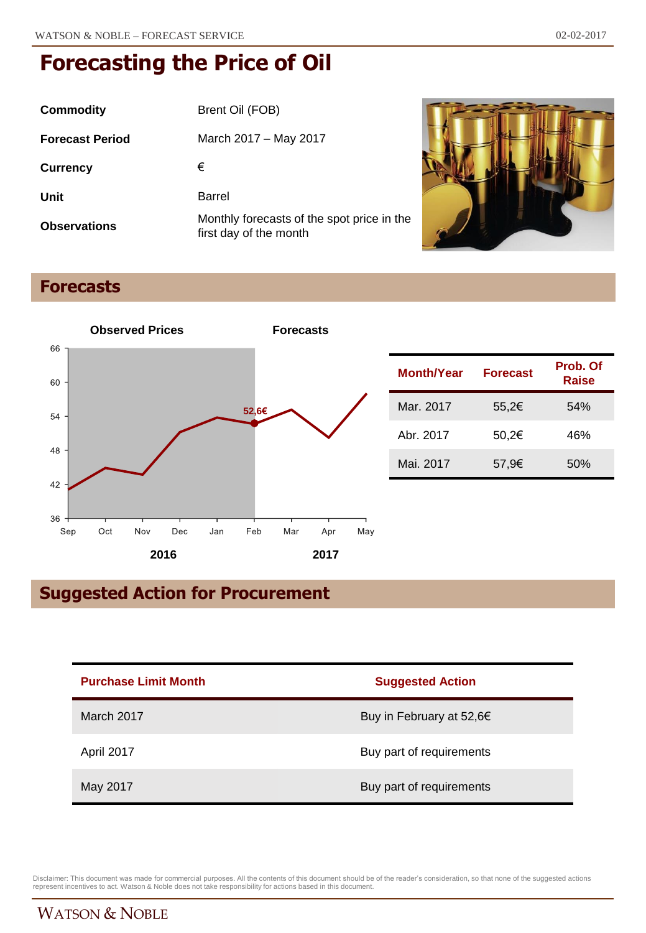| Commodity              | Brent Oil (FOB)                                                      |
|------------------------|----------------------------------------------------------------------|
| <b>Forecast Period</b> | March 2017 – May 2017                                                |
| <b>Currency</b>        | €                                                                    |
| Unit                   | Barrel                                                               |
| <b>Observations</b>    | Monthly forecasts of the spot price in the<br>first day of the month |



### **Forecasts**



### **Suggested Action for Procurement**

| <b>Purchase Limit Month</b> | <b>Suggested Action</b>  |
|-----------------------------|--------------------------|
| March 2017                  | Buy in February at 52,6€ |
| April 2017                  | Buy part of requirements |
| May 2017                    | Buy part of requirements |

Disclaimer: This document was made for commercial purposes. All the contents of this document should be of the reader's consideration, so that none of the suggested actions<br>represent incentives to act. Watson & Noble does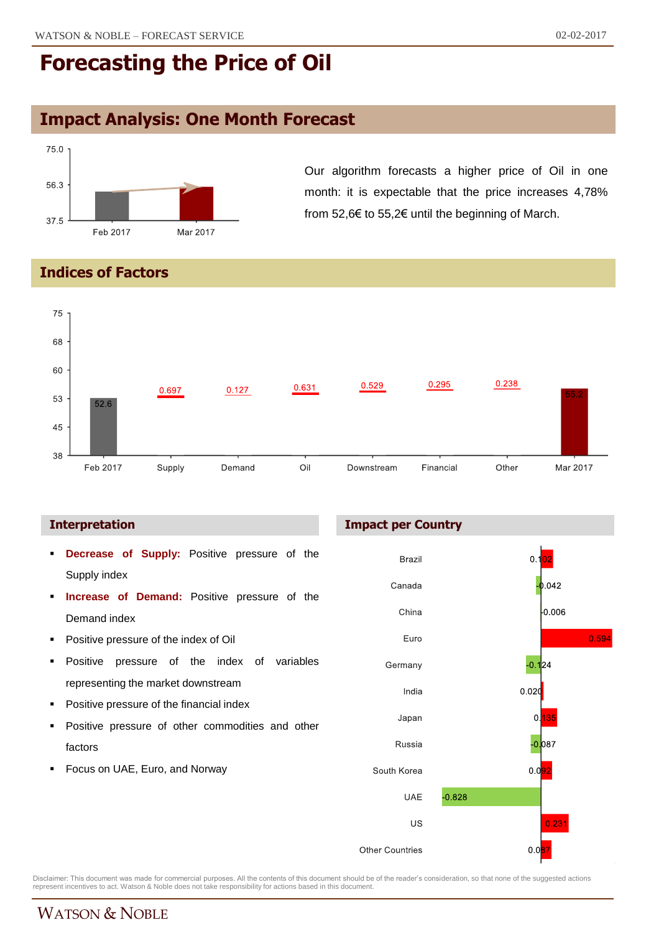### **Impact Analysis: One Month Forecast**



Our algorithm forecasts a higher price of Oil in one month: it is expectable that the price increases 4,78% from 52,6€ to 55,2€ until the beginning of March.

**Indices of Factors**



#### **Interpretation**

- **Decrease of Supply:** Positive pressure of the Supply index
- **Increase of Demand:** Positive pressure of the Demand index
- **Positive pressure of the index of Oil**
- **Positive pressure of the index of variables** representing the market downstream
- **Positive pressure of the financial index**
- Positive pressure of other commodities and other factors
- Focus on UAE, Euro, and Norway

#### **Impact per Country**



Disclaimer: This document was made for commercial purposes. All the contents of this document should be of the reader's consideration, so that none of the suggested actions<br>represent incentives to act. Watson & Noble does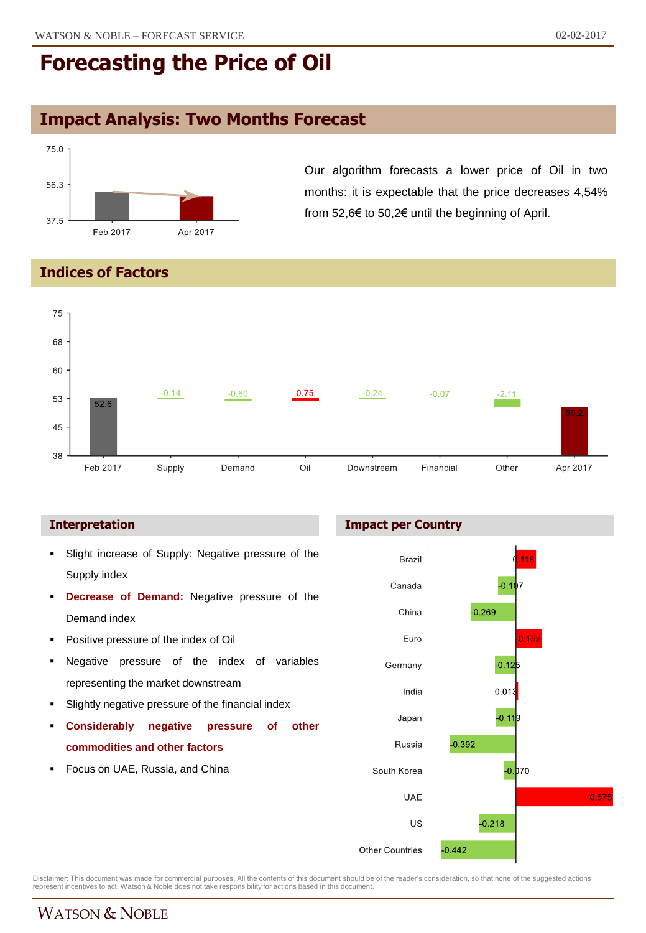### **Impact Analysis: Two Months Forecast**



Our algorithm forecasts a lower price of Oil in two months: it is expectable that the price decreases 4,54% from 52,6€ to 50,2€ until the beginning of April.

**Indices of Factors**



- **Slight increase of Supply: Negative pressure of the** Supply index
- **Decrease of Demand:** Negative pressure of the Demand index
- Positive pressure of the index of Oil
- **Negative pressure of the index of variables** representing the market downstream
- **Slightly negative pressure of the financial index**
- **Considerably negative pressure of other commodities and other factors**
- Focus on UAE, Russia, and China

### **Interpretation Impact per Country**



Disclaimer: This document was made for commercial purposes. All the contents of this document should be of the reader's consideration, so that none of the suggested actions<br>represent incentives to act. Watson & Noble does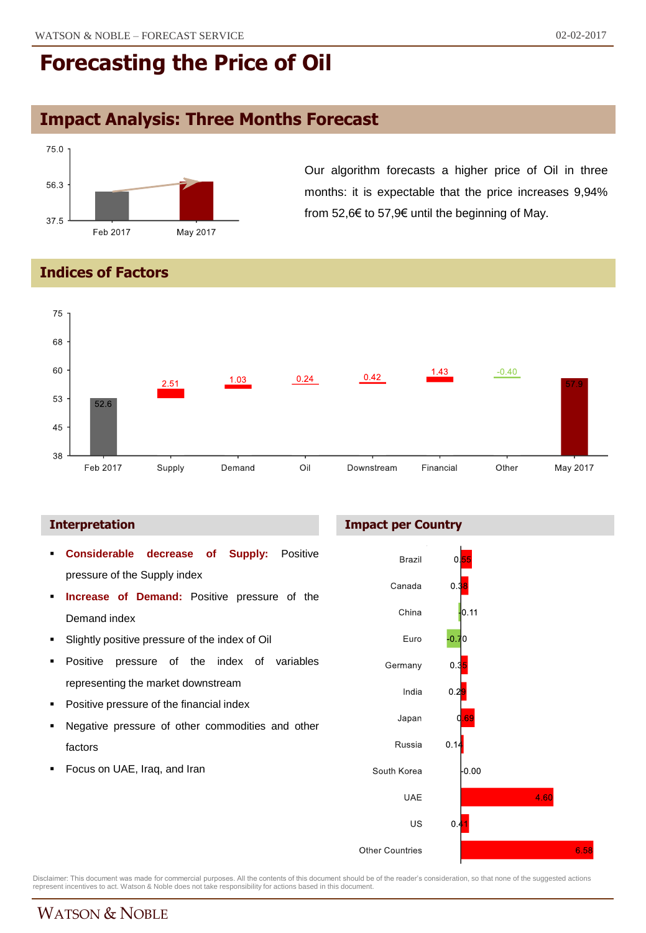6.58

# **Forecasting the Price of Oil**

### **Impact Analysis: Three Months Forecast**



Our algorithm forecasts a higher price of Oil in three months: it is expectable that the price increases 9,94% from 52,6€ to 57,9€ until the beginning of May.

### **Indices of Factors**



#### **Interpretation Impact per Country**

 **Considerable decrease of Supply:** Positive **Brazil** οļ ż, pressure of the Supply index Canada  $0.3$  **Increase of Demand:** Positive pressure of the China  $0.11$ Demand index -0.7 Slightly positive pressure of the index of Oil Euro l0 **Positive pressure of the index of variables** Germany 0. representing the market downstream India  $\Omega$ **Positive pressure of the financial index** Japan Negative pressure of other commodities and other Russia  $0.1$ factors Focus on UAE, Iraq, and Iran South Korea  $0.00$ **UAE** 4.60 US  $0.4$ Other Countries

Disclaimer: This document was made for commercial purposes. All the contents of this document should be of the reader's consideration, so that none of the suggested actions<br>represent incentives to act. Watson & Noble does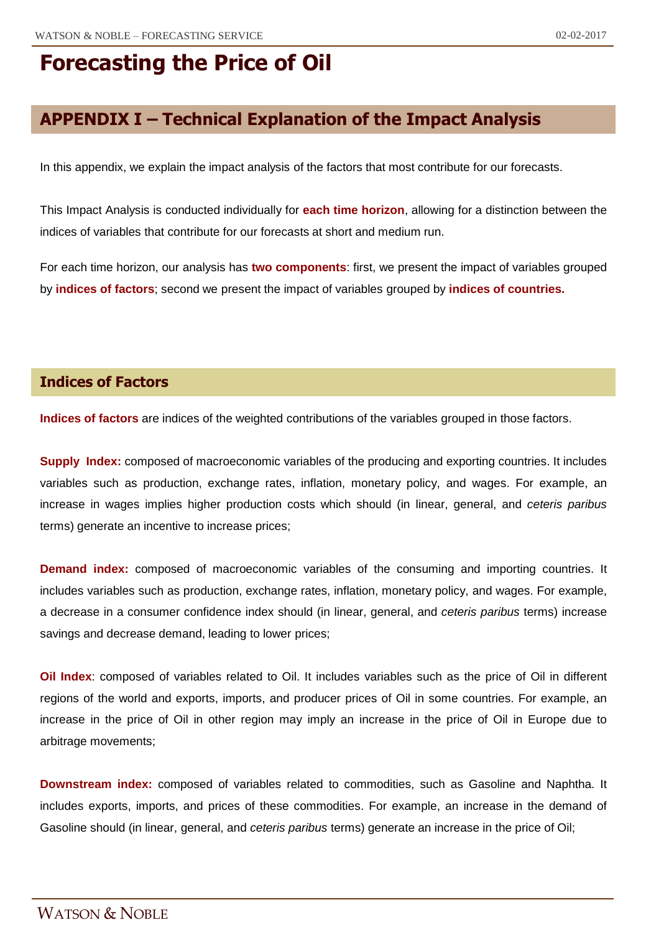### **APPENDIX I – Technical Explanation of the Impact Analysis**

In this appendix, we explain the impact analysis of the factors that most contribute for our forecasts.

This Impact Analysis is conducted individually for **each time horizon**, allowing for a distinction between the indices of variables that contribute for our forecasts at short and medium run.

For each time horizon, our analysis has **two components**: first, we present the impact of variables grouped by **indices of factors**; second we present the impact of variables grouped by **indices of countries.**

### **Indices of Factors**

**Indices of factors** are indices of the weighted contributions of the variables grouped in those factors.

**Supply Index:** composed of macroeconomic variables of the producing and exporting countries. It includes variables such as production, exchange rates, inflation, monetary policy, and wages. For example, an increase in wages implies higher production costs which should (in linear, general, and *ceteris paribus* terms) generate an incentive to increase prices;

**Demand index:** composed of macroeconomic variables of the consuming and importing countries. It includes variables such as production, exchange rates, inflation, monetary policy, and wages. For example, a decrease in a consumer confidence index should (in linear, general, and *ceteris paribus* terms) increase savings and decrease demand, leading to lower prices;

**Oil Index**: composed of variables related to Oil. It includes variables such as the price of Oil in different regions of the world and exports, imports, and producer prices of Oil in some countries. For example, an increase in the price of Oil in other region may imply an increase in the price of Oil in Europe due to arbitrage movements;

**Downstream index:** composed of variables related to commodities, such as Gasoline and Naphtha. It includes exports, imports, and prices of these commodities. For example, an increase in the demand of Gasoline should (in linear, general, and *ceteris paribus* terms) generate an increase in the price of Oil;